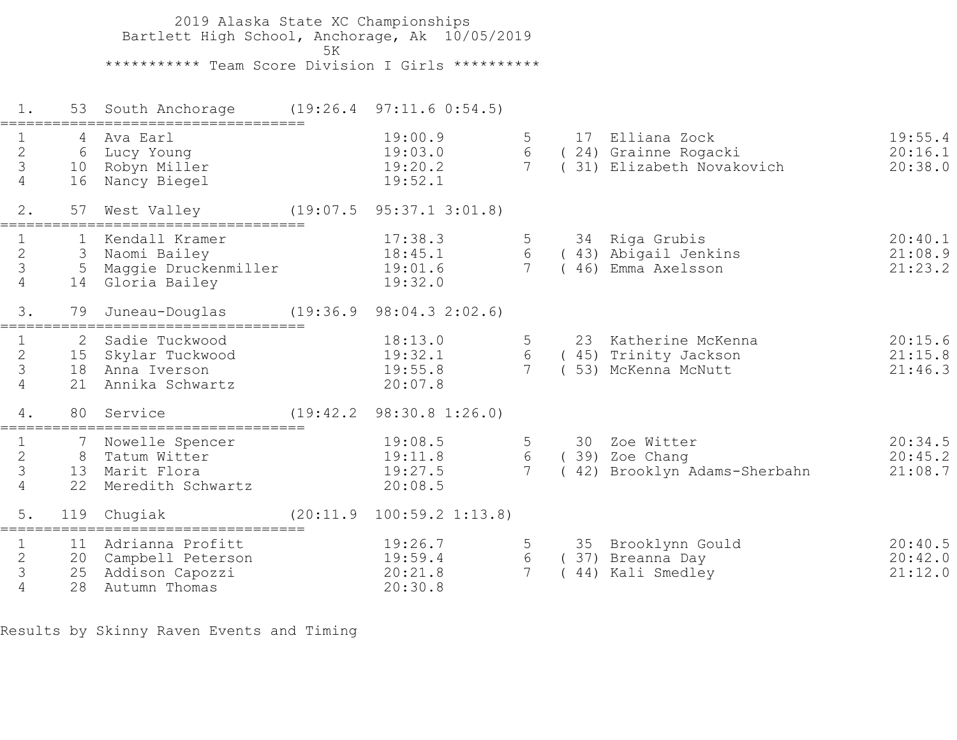2019 Alaska State XC Championships Bartlett High School, Anchorage, Ak 10/05/2019  $5K$  \*\*\*\*\*\*\*\*\*\*\* Team Score Division I Girls \*\*\*\*\*\*\*\*\*\* 1. 53 South Anchorage (19:26.4 97:11.6 0:54.5) =================================== 1 4 Ava Earl 19:00.9 5 17 Elliana Zock 19:55.4 2 6 Lucy Young 19:03.0 6 ( 24) Grainne Rogacki 20:16.1 3 10 Robyn Miller 19:20.2 7 ( 31) Elizabeth Novakovich 20:38.0 4 16 Nancy Biegel 19:52.1 2. 57 West Valley (19:07.5 95:37.1 3:01.8) =================================== 1 1 Kendall Kramer 17:38.3 5 34 Riga Grubis 20:40.1 2 3 Naomi Bailey 18:45.1 6 ( 43) Abigail Jenkins 21:08.9 3 5 Maggie Druckenmiller 19:01.6 7 ( 46) Emma Axelsson 21:23.2 4 14 Gloria Bailey 19:32.0 3. 79 Juneau-Douglas (19:36.9 98:04.3 2:02.6) =================================== 1 2 Sadie Tuckwood 18:13.0 5 23 Katherine McKenna 20:15.6 2 15 Skylar Tuckwood 19:32.1 6 ( 45) Trinity Jackson 21:15.8 3 18 Anna Iverson 19:55.8 7 ( 53) McKenna McNutt 21:46.3 4 21 Annika Schwartz 20:07.8 4. 80 Service (19:42.2 98:30.8 1:26.0) =================================== 1 7 Nowelle Spencer 19:08.5 5 30 Zoe Witter 20:34.5 2 8 Tatum Witter 19:11.8 6 ( 39) Zoe Chang 20:45.2 3 13 Marit Flora 19:27.5 7 ( 42) Brooklyn Adams-Sherbahn 21:08.7 4 22 Meredith Schwartz 20:08.5 5. 119 Chugiak (20:11.9 100:59.2 1:13.8) =================================== 1 11 Adrianna Profitt 19:26.7 5 35 Brooklynn Gould 20:40.5 2 20 Campbell Peterson 19:59.4 6 ( 37) Breanna Day 20:42.0 3 25 Addison Capozzi 20:21.8 7 ( 44) Kali Smedley 21:12.0 4 28 Autumn Thomas 20:30.8

Results by Skinny Raven Events and Timing